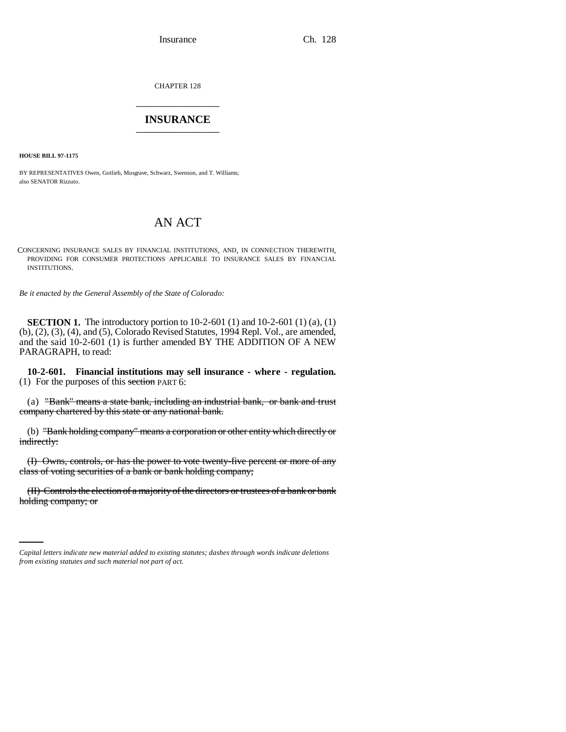CHAPTER 128 \_\_\_\_\_\_\_\_\_\_\_\_\_\_\_

## **INSURANCE** \_\_\_\_\_\_\_\_\_\_\_\_\_\_\_

**HOUSE BILL 97-1175**

BY REPRESENTATIVES Owen, Gotlieb, Musgrave, Schwarz, Swenson, and T. Williams; also SENATOR Rizzuto.

# AN ACT

CONCERNING INSURANCE SALES BY FINANCIAL INSTITUTIONS, AND, IN CONNECTION THEREWITH, PROVIDING FOR CONSUMER PROTECTIONS APPLICABLE TO INSURANCE SALES BY FINANCIAL INSTITUTIONS.

*Be it enacted by the General Assembly of the State of Colorado:*

**SECTION 1.** The introductory portion to 10-2-601 (1) and 10-2-601 (1) (a), (1) (b), (2), (3), (4), and (5), Colorado Revised Statutes, 1994 Repl. Vol., are amended, and the said 10-2-601 (1) is further amended BY THE ADDITION OF A NEW PARAGRAPH, to read:

**10-2-601. Financial institutions may sell insurance - where - regulation.** (1) For the purposes of this section PART 6:

(a) "Bank" means a state bank, including an industrial bank, or bank and trust company chartered by this state or any national bank.

(b) "Bank holding company" means a corporation or other entity which directly or indirectly:

(I) Owns, controls, or has the power to vote twenty-five percent or more of any class of voting securities of a bank or bank holding company;

(II) Controls the election of a majority of the directors or trustees of a bank or bank holding company; or

*Capital letters indicate new material added to existing statutes; dashes through words indicate deletions from existing statutes and such material not part of act.*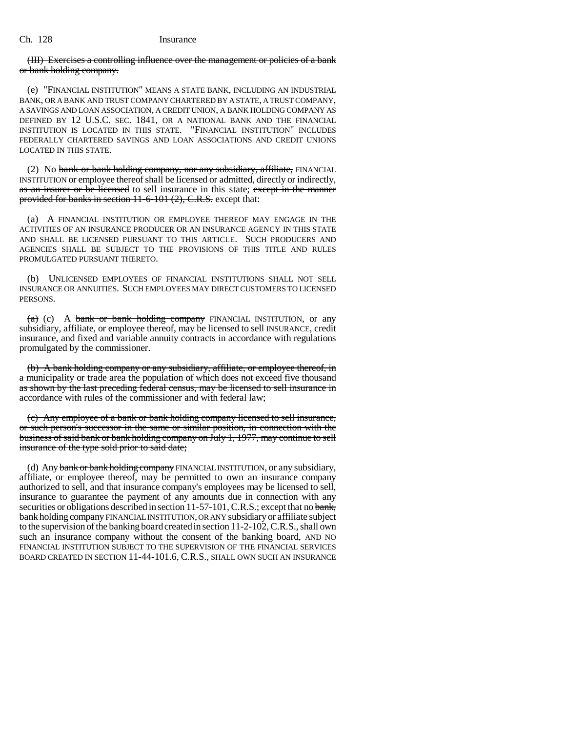#### Ch. 128 Insurance

### (III) Exercises a controlling influence over the management or policies of a bank or bank holding company.

(e) "FINANCIAL INSTITUTION" MEANS A STATE BANK, INCLUDING AN INDUSTRIAL BANK, OR A BANK AND TRUST COMPANY CHARTERED BY A STATE, A TRUST COMPANY, A SAVINGS AND LOAN ASSOCIATION, A CREDIT UNION, A BANK HOLDING COMPANY AS DEFINED BY 12 U.S.C. SEC. 1841, OR A NATIONAL BANK AND THE FINANCIAL INSTITUTION IS LOCATED IN THIS STATE. "FINANCIAL INSTITUTION" INCLUDES FEDERALLY CHARTERED SAVINGS AND LOAN ASSOCIATIONS AND CREDIT UNIONS LOCATED IN THIS STATE.

(2) No bank or bank holding company, nor any subsidiary, affiliate, FINANCIAL INSTITUTION or employee thereof shall be licensed or admitted, directly or indirectly, as an insurer or be licensed to sell insurance in this state; except in the manner provided for banks in section  $11-6-101(2)$ , C.R.S. except that:

(a) A FINANCIAL INSTITUTION OR EMPLOYEE THEREOF MAY ENGAGE IN THE ACTIVITIES OF AN INSURANCE PRODUCER OR AN INSURANCE AGENCY IN THIS STATE AND SHALL BE LICENSED PURSUANT TO THIS ARTICLE. SUCH PRODUCERS AND AGENCIES SHALL BE SUBJECT TO THE PROVISIONS OF THIS TITLE AND RULES PROMULGATED PURSUANT THERETO.

(b) UNLICENSED EMPLOYEES OF FINANCIAL INSTITUTIONS SHALL NOT SELL INSURANCE OR ANNUITIES. SUCH EMPLOYEES MAY DIRECT CUSTOMERS TO LICENSED PERSONS.

 $(a)$  (c) A bank or bank holding company FINANCIAL INSTITUTION, or any subsidiary, affiliate, or employee thereof, may be licensed to sell INSURANCE, credit insurance, and fixed and variable annuity contracts in accordance with regulations promulgated by the commissioner.

(b) A bank holding company or any subsidiary, affiliate, or employee thereof, in a municipality or trade area the population of which does not exceed five thousand as shown by the last preceding federal census, may be licensed to sell insurance in accordance with rules of the commissioner and with federal law;

(c) Any employee of a bank or bank holding company licensed to sell insurance, or such person's successor in the same or similar position, in connection with the business of said bank or bank holding company on July 1, 1977, may continue to sell insurance of the type sold prior to said date;

(d) Any bank or bank holding company FINANCIAL INSTITUTION, or any subsidiary, affiliate, or employee thereof, may be permitted to own an insurance company authorized to sell, and that insurance company's employees may be licensed to sell, insurance to guarantee the payment of any amounts due in connection with any securities or obligations described in section 11-57-101, C.R.S.; except that no bank, bank holding company FINANCIAL INSTITUTION, OR ANY subsidiary or affiliate subject to the supervision of the banking board created in section 11-2-102, C.R.S., shall own such an insurance company without the consent of the banking board, AND NO FINANCIAL INSTITUTION SUBJECT TO THE SUPERVISION OF THE FINANCIAL SERVICES BOARD CREATED IN SECTION 11-44-101.6, C.R.S., SHALL OWN SUCH AN INSURANCE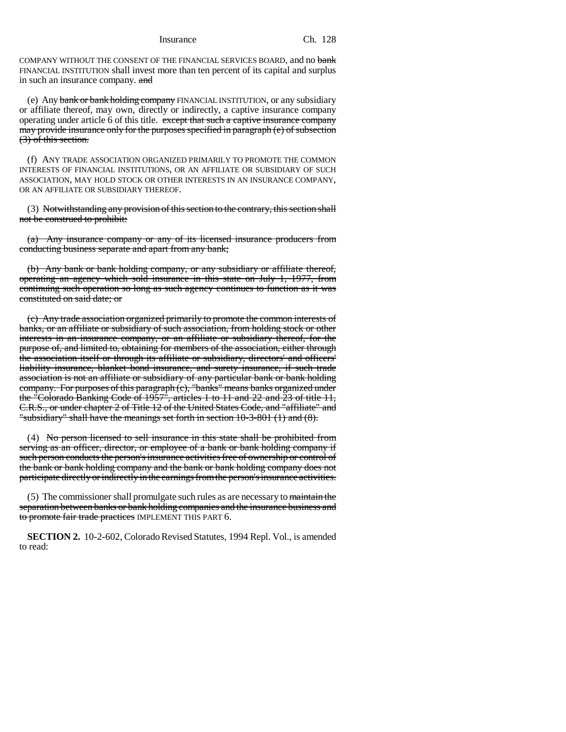COMPANY WITHOUT THE CONSENT OF THE FINANCIAL SERVICES BOARD, and no bank FINANCIAL INSTITUTION shall invest more than ten percent of its capital and surplus in such an insurance company. and

(e) Any bank or bank holding company FINANCIAL INSTITUTION, or any subsidiary or affiliate thereof, may own, directly or indirectly, a captive insurance company operating under article 6 of this title. except that such a captive insurance company may provide insurance only for the purposes specified in paragraph (e) of subsection (3) of this section.

(f) ANY TRADE ASSOCIATION ORGANIZED PRIMARILY TO PROMOTE THE COMMON INTERESTS OF FINANCIAL INSTITUTIONS, OR AN AFFILIATE OR SUBSIDIARY OF SUCH ASSOCIATION, MAY HOLD STOCK OR OTHER INTERESTS IN AN INSURANCE COMPANY, OR AN AFFILIATE OR SUBSIDIARY THEREOF.

(3) Notwithstanding any provision of this section to the contrary, this section shall not be construed to prohibit:

(a) Any insurance company or any of its licensed insurance producers from conducting business separate and apart from any bank;

(b) Any bank or bank holding company, or any subsidiary or affiliate thereof, operating an agency which sold insurance in this state on July 1, 1977, from continuing such operation so long as such agency continues to function as it was constituted on said date; or

(c) Any trade association organized primarily to promote the common interests of banks, or an affiliate or subsidiary of such association, from holding stock or other interests in an insurance company, or an affiliate or subsidiary thereof, for the purpose of, and limited to, obtaining for members of the association, either through the association itself or through its affiliate or subsidiary, directors' and officers' liability insurance, blanket bond insurance, and surety insurance, if such trade association is not an affiliate or subsidiary of any particular bank or bank holding company. For purposes of this paragraph (c), "banks" means banks organized under the "Colorado Banking Code of 1957", articles 1 to 11 and 22 and 23 of title 11, C.R.S., or under chapter 2 of Title 12 of the United States Code, and "affiliate" and "subsidiary" shall have the meanings set forth in section 10-3-801 (1) and (8).

(4) No person licensed to sell insurance in this state shall be prohibited from serving as an officer, director, or employee of a bank or bank holding company if such person conducts the person's insurance activities free of ownership or control of the bank or bank holding company and the bank or bank holding company does not participate directly or indirectly in the earnings from the person's insurance activities.

(5) The commissioner shall promulgate such rules as are necessary to maintain the separation between banks or bank holding companies and the insurance business and to promote fair trade practices IMPLEMENT THIS PART 6.

**SECTION 2.** 10-2-602, Colorado Revised Statutes, 1994 Repl. Vol., is amended to read: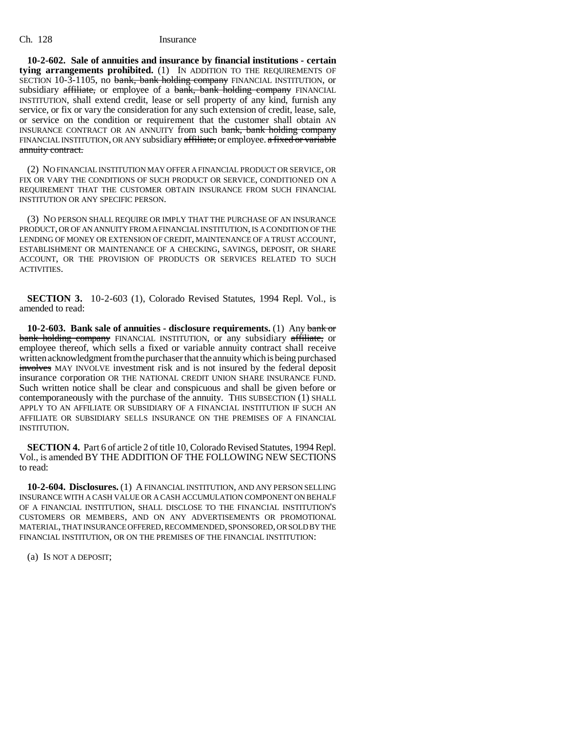#### Ch. 128 Insurance

**10-2-602. Sale of annuities and insurance by financial institutions - certain tying arrangements prohibited.** (1) IN ADDITION TO THE REQUIREMENTS OF SECTION 10-3-1105, no bank, bank holding company FINANCIAL INSTITUTION, or subsidiary affiliate, or employee of a bank, bank holding company FINANCIAL INSTITUTION, shall extend credit, lease or sell property of any kind, furnish any service, or fix or vary the consideration for any such extension of credit, lease, sale, or service on the condition or requirement that the customer shall obtain AN INSURANCE CONTRACT OR AN ANNUITY from such bank, bank holding company FINANCIAL INSTITUTION, OR ANY subsidiary affiliate, or employee. a fixed or variable annuity contract.

(2) NO FINANCIAL INSTITUTION MAY OFFER A FINANCIAL PRODUCT OR SERVICE, OR FIX OR VARY THE CONDITIONS OF SUCH PRODUCT OR SERVICE, CONDITIONED ON A REQUIREMENT THAT THE CUSTOMER OBTAIN INSURANCE FROM SUCH FINANCIAL INSTITUTION OR ANY SPECIFIC PERSON.

(3) NO PERSON SHALL REQUIRE OR IMPLY THAT THE PURCHASE OF AN INSURANCE PRODUCT, OR OF AN ANNUITY FROM A FINANCIAL INSTITUTION, IS A CONDITION OF THE LENDING OF MONEY OR EXTENSION OF CREDIT, MAINTENANCE OF A TRUST ACCOUNT, ESTABLISHMENT OR MAINTENANCE OF A CHECKING, SAVINGS, DEPOSIT, OR SHARE ACCOUNT, OR THE PROVISION OF PRODUCTS OR SERVICES RELATED TO SUCH ACTIVITIES.

**SECTION 3.** 10-2-603 (1), Colorado Revised Statutes, 1994 Repl. Vol., is amended to read:

**10-2-603. Bank sale of annuities - disclosure requirements.** (1) Any bank or bank holding company FINANCIAL INSTITUTION, or any subsidiary affiliate, or employee thereof, which sells a fixed or variable annuity contract shall receive written acknowledgment from the purchaser that the annuity which is being purchased involves MAY INVOLVE investment risk and is not insured by the federal deposit insurance corporation OR THE NATIONAL CREDIT UNION SHARE INSURANCE FUND. Such written notice shall be clear and conspicuous and shall be given before or contemporaneously with the purchase of the annuity. THIS SUBSECTION (1) SHALL APPLY TO AN AFFILIATE OR SUBSIDIARY OF A FINANCIAL INSTITUTION IF SUCH AN AFFILIATE OR SUBSIDIARY SELLS INSURANCE ON THE PREMISES OF A FINANCIAL INSTITUTION.

**SECTION 4.** Part 6 of article 2 of title 10, Colorado Revised Statutes, 1994 Repl. Vol., is amended BY THE ADDITION OF THE FOLLOWING NEW SECTIONS to read:

**10-2-604. Disclosures.** (1) A FINANCIAL INSTITUTION, AND ANY PERSON SELLING INSURANCE WITH A CASH VALUE OR A CASH ACCUMULATION COMPONENT ON BEHALF OF A FINANCIAL INSTITUTION, SHALL DISCLOSE TO THE FINANCIAL INSTITUTION'S CUSTOMERS OR MEMBERS, AND ON ANY ADVERTISEMENTS OR PROMOTIONAL MATERIAL, THAT INSURANCE OFFERED, RECOMMENDED, SPONSORED, OR SOLD BY THE FINANCIAL INSTITUTION, OR ON THE PREMISES OF THE FINANCIAL INSTITUTION:

(a) IS NOT A DEPOSIT;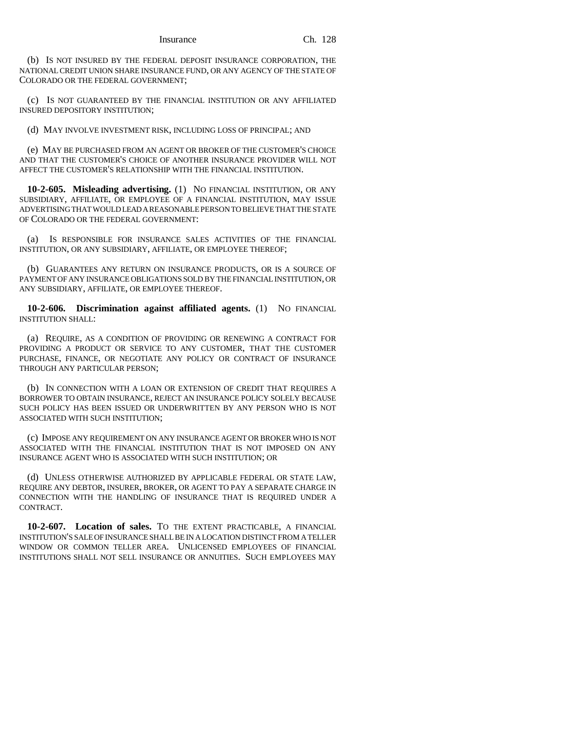(b) IS NOT INSURED BY THE FEDERAL DEPOSIT INSURANCE CORPORATION, THE NATIONAL CREDIT UNION SHARE INSURANCE FUND, OR ANY AGENCY OF THE STATE OF COLORADO OR THE FEDERAL GOVERNMENT;

(c) IS NOT GUARANTEED BY THE FINANCIAL INSTITUTION OR ANY AFFILIATED INSURED DEPOSITORY INSTITUTION;

(d) MAY INVOLVE INVESTMENT RISK, INCLUDING LOSS OF PRINCIPAL; AND

(e) MAY BE PURCHASED FROM AN AGENT OR BROKER OF THE CUSTOMER'S CHOICE AND THAT THE CUSTOMER'S CHOICE OF ANOTHER INSURANCE PROVIDER WILL NOT AFFECT THE CUSTOMER'S RELATIONSHIP WITH THE FINANCIAL INSTITUTION.

**10-2-605. Misleading advertising.** (1) NO FINANCIAL INSTITUTION, OR ANY SUBSIDIARY, AFFILIATE, OR EMPLOYEE OF A FINANCIAL INSTITUTION, MAY ISSUE ADVERTISING THAT WOULD LEAD A REASONABLE PERSON TO BELIEVE THAT THE STATE OF COLORADO OR THE FEDERAL GOVERNMENT:

(a) IS RESPONSIBLE FOR INSURANCE SALES ACTIVITIES OF THE FINANCIAL INSTITUTION, OR ANY SUBSIDIARY, AFFILIATE, OR EMPLOYEE THEREOF;

(b) GUARANTEES ANY RETURN ON INSURANCE PRODUCTS, OR IS A SOURCE OF PAYMENT OF ANY INSURANCE OBLIGATIONS SOLD BY THE FINANCIAL INSTITUTION, OR ANY SUBSIDIARY, AFFILIATE, OR EMPLOYEE THEREOF.

**10-2-606. Discrimination against affiliated agents.** (1) NO FINANCIAL INSTITUTION SHALL:

(a) REQUIRE, AS A CONDITION OF PROVIDING OR RENEWING A CONTRACT FOR PROVIDING A PRODUCT OR SERVICE TO ANY CUSTOMER, THAT THE CUSTOMER PURCHASE, FINANCE, OR NEGOTIATE ANY POLICY OR CONTRACT OF INSURANCE THROUGH ANY PARTICULAR PERSON;

(b) IN CONNECTION WITH A LOAN OR EXTENSION OF CREDIT THAT REQUIRES A BORROWER TO OBTAIN INSURANCE, REJECT AN INSURANCE POLICY SOLELY BECAUSE SUCH POLICY HAS BEEN ISSUED OR UNDERWRITTEN BY ANY PERSON WHO IS NOT ASSOCIATED WITH SUCH INSTITUTION;

(c) IMPOSE ANY REQUIREMENT ON ANY INSURANCE AGENT OR BROKER WHO IS NOT ASSOCIATED WITH THE FINANCIAL INSTITUTION THAT IS NOT IMPOSED ON ANY INSURANCE AGENT WHO IS ASSOCIATED WITH SUCH INSTITUTION; OR

(d) UNLESS OTHERWISE AUTHORIZED BY APPLICABLE FEDERAL OR STATE LAW, REQUIRE ANY DEBTOR, INSURER, BROKER, OR AGENT TO PAY A SEPARATE CHARGE IN CONNECTION WITH THE HANDLING OF INSURANCE THAT IS REQUIRED UNDER A CONTRACT.

**10-2-607. Location of sales.** TO THE EXTENT PRACTICABLE, A FINANCIAL INSTITUTION'S SALE OF INSURANCE SHALL BE IN A LOCATION DISTINCT FROM A TELLER WINDOW OR COMMON TELLER AREA. UNLICENSED EMPLOYEES OF FINANCIAL INSTITUTIONS SHALL NOT SELL INSURANCE OR ANNUITIES. SUCH EMPLOYEES MAY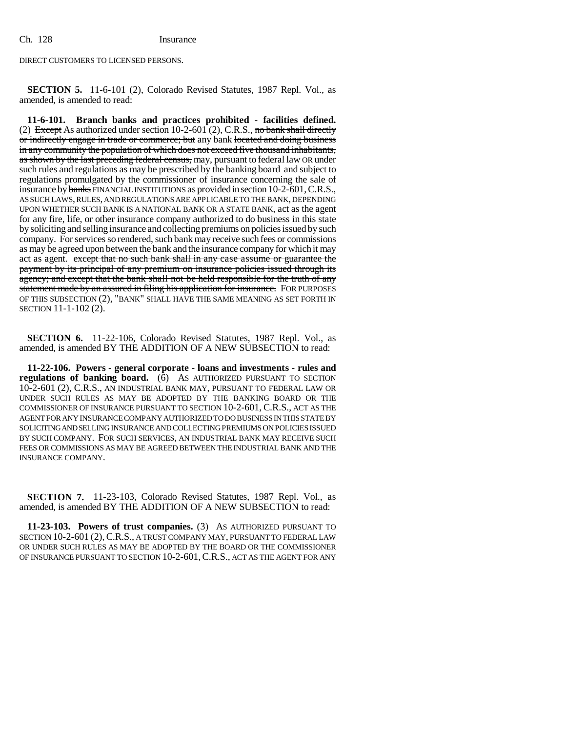DIRECT CUSTOMERS TO LICENSED PERSONS.

**SECTION 5.** 11-6-101 (2), Colorado Revised Statutes, 1987 Repl. Vol., as amended, is amended to read:

**11-6-101. Branch banks and practices prohibited - facilities defined.** (2) Except As authorized under section  $10-2-601$  (2), C.R.S., no bank shall directly or indirectly engage in trade or commerce; but any bank located and doing business in any community the population of which does not exceed five thousand inhabitants, as shown by the last preceding federal census, may, pursuant to federal law OR under such rules and regulations as may be prescribed by the banking board and subject to regulations promulgated by the commissioner of insurance concerning the sale of insurance by banks FINANCIAL INSTITUTIONS as provided in section 10-2-601, C.R.S., AS SUCH LAWS, RULES, AND REGULATIONS ARE APPLICABLE TO THE BANK, DEPENDING UPON WHETHER SUCH BANK IS A NATIONAL BANK OR A STATE BANK, act as the agent for any fire, life, or other insurance company authorized to do business in this state by soliciting and selling insurance and collecting premiums on policies issued by such company. For services so rendered, such bank may receive such fees or commissions as may be agreed upon between the bank and the insurance company for which it may act as agent. except that no such bank shall in any case assume or guarantee the payment by its principal of any premium on insurance policies issued through its agency; and except that the bank shall not be held responsible for the truth of any statement made by an assured in filing his application for insurance. FOR PURPOSES OF THIS SUBSECTION (2), "BANK" SHALL HAVE THE SAME MEANING AS SET FORTH IN SECTION 11-1-102 (2).

**SECTION 6.** 11-22-106, Colorado Revised Statutes, 1987 Repl. Vol., as amended, is amended BY THE ADDITION OF A NEW SUBSECTION to read:

**11-22-106. Powers - general corporate - loans and investments - rules and regulations of banking board.** (6) AS AUTHORIZED PURSUANT TO SECTION 10-2-601 (2), C.R.S., AN INDUSTRIAL BANK MAY, PURSUANT TO FEDERAL LAW OR UNDER SUCH RULES AS MAY BE ADOPTED BY THE BANKING BOARD OR THE COMMISSIONER OF INSURANCE PURSUANT TO SECTION 10-2-601, C.R.S., ACT AS THE AGENT FOR ANY INSURANCE COMPANY AUTHORIZED TO DO BUSINESS IN THIS STATE BY SOLICITING AND SELLING INSURANCE AND COLLECTING PREMIUMS ON POLICIES ISSUED BY SUCH COMPANY. FOR SUCH SERVICES, AN INDUSTRIAL BANK MAY RECEIVE SUCH FEES OR COMMISSIONS AS MAY BE AGREED BETWEEN THE INDUSTRIAL BANK AND THE INSURANCE COMPANY.

**SECTION 7.** 11-23-103, Colorado Revised Statutes, 1987 Repl. Vol., as amended, is amended BY THE ADDITION OF A NEW SUBSECTION to read:

**11-23-103. Powers of trust companies.** (3) AS AUTHORIZED PURSUANT TO SECTION 10-2-601 (2),C.R.S., A TRUST COMPANY MAY, PURSUANT TO FEDERAL LAW OR UNDER SUCH RULES AS MAY BE ADOPTED BY THE BOARD OR THE COMMISSIONER OF INSURANCE PURSUANT TO SECTION 10-2-601,C.R.S., ACT AS THE AGENT FOR ANY